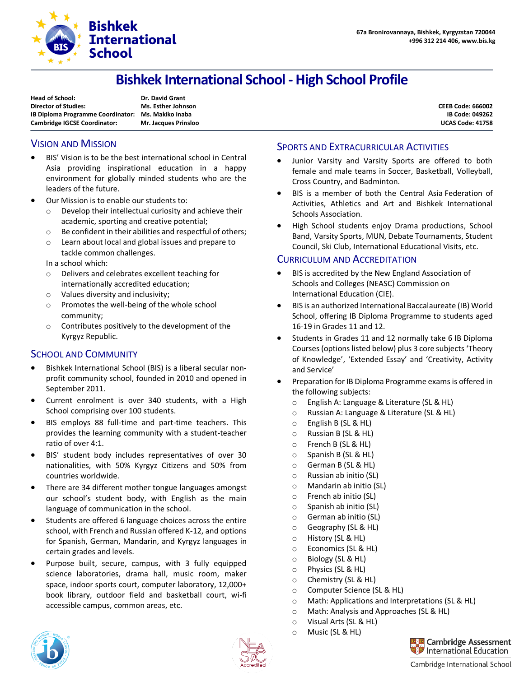

# **Bishkek International School - High School Profile**

| Dr. David Grant             |
|-----------------------------|
| Ms. Esther Johnson          |
| Ms. Makiko Inaba            |
| <b>Mr. Jacques Prinsloo</b> |
|                             |

**CEEB Code: 666002 IB Code: 049262 UCAS Code: 41758**

## VISION AND MISSION

- BIS' Vision is to be the best international school in Central Asia providing inspirational education in a happy environment for globally minded students who are the leaders of the future.
- Our Mission is to enable our students to:
	- o Develop their intellectual curiosity and achieve their academic, sporting and creative potential;
	- o Be confident in their abilities and respectful of others;
	- o Learn about local and global issues and prepare to tackle common challenges.

In a school which:

- o Delivers and celebrates excellent teaching for internationally accredited education;
- o Values diversity and inclusivity;
- o Promotes the well-being of the whole school community;
- o Contributes positively to the development of the Kyrgyz Republic.

## SCHOOL AND COMMUNITY

- Bishkek International School (BIS) is a liberal secular nonprofit community school, founded in 2010 and opened in September 2011.
- Current enrolment is over 340 students, with a High School comprising over 100 students.
- BIS employs 88 full-time and part-time teachers. This provides the learning community with a student-teacher ratio of over 4:1.
- BIS' student body includes representatives of over 30 nationalities, with 50% Kyrgyz Citizens and 50% from countries worldwide.
- There are 34 different mother tongue languages amongst our school's student body, with English as the main language of communication in the school.
- Students are offered 6 language choices across the entire school, with French and Russian offered K-12, and options for Spanish, German, Mandarin, and Kyrgyz languages in certain grades and levels.
- Purpose built, secure, campus, with 3 fully equipped science laboratories, drama hall, music room, maker space, indoor sports court, computer laboratory, 12,000+ book library, outdoor field and basketball court, wi-fi accessible campus, common areas, etc.

#### SPORTS AND EXTRACURRICULAR ACTIVITIES

- Junior Varsity and Varsity Sports are offered to both female and male teams in Soccer, Basketball, Volleyball, Cross Country, and Badminton.
- BIS is a member of both the Central Asia Federation of Activities, Athletics and Art and Bishkek International Schools Association.
- High School students enjoy Drama productions, School Band, Varsity Sports, MUN, Debate Tournaments, Student Council, Ski Club, International Educational Visits, etc.

#### CURRICULUM AND ACCREDITATION

- BIS is accredited by the New England Association of [Schools and Colleges](https://en.wikipedia.org/wiki/New_England_Association_of_Schools_and_Colleges) (NEASC) Commission on International Education (CIE).
- BIS is an authorized International Baccalaureate (IB) World School, offering IB Diploma Programme to students aged 16-19 in Grades 11 and 12.
- Students in Grades 11 and 12 normally take 6 IB Diploma Courses (options listed below) plus 3 core subjects 'Theory of Knowledge', 'Extended Essay' and 'Creativity, Activity and Service'
- Preparation for IB Diploma Programme exams is offered in the following subjects:
	- o English A: Language & Literature (SL & HL)
	- o Russian A: Language & Literature (SL & HL)
	- o English B (SL & HL)
	- o Russian B (SL & HL)
	- o French B (SL & HL)
	- o Spanish B (SL & HL)
	- o German B (SL & HL)
	- o Russian ab initio (SL)
	- o Mandarin ab initio (SL)
	- o French ab initio (SL)
	- o Spanish ab initio (SL)
	- o German ab initio (SL)
	- o Geography (SL & HL)
	- o History (SL & HL)
	- o Economics (SL & HL)
	- o Biology (SL & HL)
	- o Physics (SL & HL)
	- o Chemistry (SL & HL)
	- o Computer Science (SL & HL)
	- o Math: Applications and Interpretations (SL & HL)
	- o Math: Analysis and Approaches (SL & HL)
	- o Visual Arts (SL & HL)
	- o Music (SL & HL)





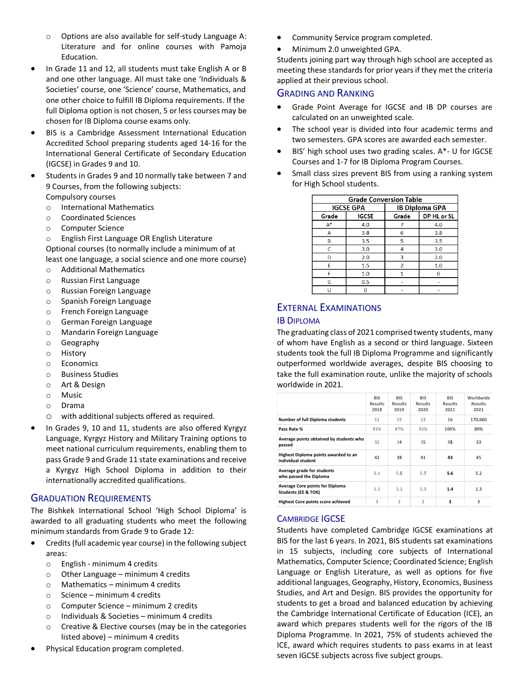- o Options are also available for self-study Language A: Literature and for online courses with Pamoja Education.
- In Grade 11 and 12, all students must take English A or B and one other language. All must take one 'Individuals & Societies' course, one 'Science' course, Mathematics, and one other choice to fulfill IB Diploma requirements. If the full Diploma option is not chosen, 5 or less courses may be chosen for IB Diploma course exams only.
- BIS is a Cambridge Assessment International Education Accredited School preparing students aged 14-16 for the International General Certificate of Secondary Education (IGCSE) in Grades 9 and 10.
- Students in Grades 9 and 10 normally take between 7 and 9 Courses, from the following subjects: Compulsory courses
	- o International Mathematics
	- o Coordinated Sciences
	- o Computer Science
	- o English First Language OR English Literature

Optional courses (to normally include a minimum of at least one language, a social science and one more course)

- o Additional Mathematics
- o Russian First Language
- o Russian Foreign Language
- o Spanish Foreign Language
- o French Foreign Language
- o German Foreign Language
- o Mandarin Foreign Language
- o Geography
- o History
- o Economics
- o Business Studies
- o Art & Design
- o Music
- o Drama
- o with additional subjects offered as required.
- In Grades 9, 10 and 11, students are also offered Kyrgyz Language, Kyrgyz History and Military Training options to meet national curriculum requirements, enabling them to pass Grade 9 and Grade 11 state examinations and receive a Kyrgyz High School Diploma in addition to their internationally accredited qualifications.

## GRADUATION REQUIREMENTS

The Bishkek International School 'High School Diploma' is awarded to all graduating students who meet the following minimum standards from Grade 9 to Grade 12:

- Credits (full academic year course) in the following subject areas:
	- o English minimum 4 credits
	- o Other Language minimum 4 credits
	- o Mathematics minimum 4 credits
	- o Science minimum 4 credits
	- o Computer Science minimum 2 credits
	- o Individuals & Societies minimum 4 credits
	- o Creative & Elective courses (may be in the categories listed above) – minimum 4 credits
- Physical Education program completed.
- Community Service program completed.
- Minimum 2.0 unweighted GPA.

Students joining part way through high school are accepted as meeting these standards for prior years if they met the criteria applied at their previous school.

#### GRADING AND RANKING

- Grade Point Average for IGCSE and IB DP courses are calculated on an unweighted scale.
- The school year is divided into four academic terms and two semesters. GPA scores are awarded each semester.
- BIS' high school uses two grading scales. A\*- U for IGCSE Courses and 1-7 for IB Diploma Program Courses.
- Small class sizes prevent BIS from using a ranking system for High School students.

| <b>Grade Conversion Table</b> |              |       |                       |  |  |  |  |  |
|-------------------------------|--------------|-------|-----------------------|--|--|--|--|--|
| <b>IGCSE GPA</b>              |              |       | <b>IB Diploma GPA</b> |  |  |  |  |  |
| Grade                         | <b>IGCSE</b> | Grade | DP HL or SL           |  |  |  |  |  |
| $A^*$                         | 4.0          |       | 4.0                   |  |  |  |  |  |
| А                             | 3.8          | 6     | 3.8                   |  |  |  |  |  |
| в                             | 3.5          | 5     | 3.5                   |  |  |  |  |  |
| Ċ                             | 3.0          | 4     | 3.0                   |  |  |  |  |  |
| D                             | 2.0          | 3     | 2.0                   |  |  |  |  |  |
| E                             | 1.5          | 2     | 1.0                   |  |  |  |  |  |
| F                             | 1.0          |       | $\Omega$              |  |  |  |  |  |
| G                             | 0.5          |       |                       |  |  |  |  |  |
|                               |              |       |                       |  |  |  |  |  |

# EXTERNAL EXAMINATIONS

#### IB DIPLOMA

The graduating class of 2021 comprised twenty students, many of whom have English as a second or third language. Sixteen students took the full IB Diploma Programme and significantly outperformed worldwide averages, despite BIS choosing to take the full examination route, unlike the majority of schools worldwide in 2021.

|                                                               | <b>BIS</b><br>Results<br>2018 | <b>BIS</b><br><b>Results</b><br>2019 | <b>BIS</b><br><b>Results</b><br>2020 | <b>BIS</b><br><b>Results</b><br>2021 | Worldwide<br><b>Results</b><br>2021 |
|---------------------------------------------------------------|-------------------------------|--------------------------------------|--------------------------------------|--------------------------------------|-------------------------------------|
| <b>Number of full Diploma students</b>                        | 11                            | 15                                   | 13                                   | 16                                   | 170,660                             |
| Pass Rate %                                                   | 91%                           | 87%                                  | 92%                                  | 100%                                 | 89%                                 |
| Average points obtained by students who<br>passed             | 32                            | 34                                   | 35                                   | 35                                   | 33                                  |
| Highest Diploma points awarded to an<br>individual student    | 42                            | 38                                   | 41                                   | 43                                   | 45                                  |
| Average grade for students<br>who passed the Diploma          | 5.1                           | 5.5                                  | 5.7                                  | 5.6                                  | 5.2                                 |
| <b>Average Core points for Diploma</b><br>Students (EE & TOK) | 1.1                           | 1.1                                  | 1.3                                  | 1.4                                  | 1.3                                 |
| <b>Highest Core points score achieved</b>                     | 3                             | $\overline{\phantom{a}}$             | $\overline{\phantom{a}}$             | 3                                    | 3                                   |

#### CAMBRIDGE IGCSE

Students have completed Cambridge IGCSE examinations at BIS for the last 6 years. In 2021, BIS students sat examinations in 15 subjects, including core subjects of International Mathematics, Computer Science; Coordinated Science; English Language or English Literature, as well as options for five additional languages, Geography, History, Economics, Business Studies, and Art and Design. BIS provides the opportunity for students to get a broad and balanced education by achieving the Cambridge International Certificate of Education (ICE), an award which prepares students well for the rigors of the IB Diploma Programme. In 2021, 75% of students achieved the ICE, award which requires students to pass exams in at least seven IGCSE subjects across five subject groups.